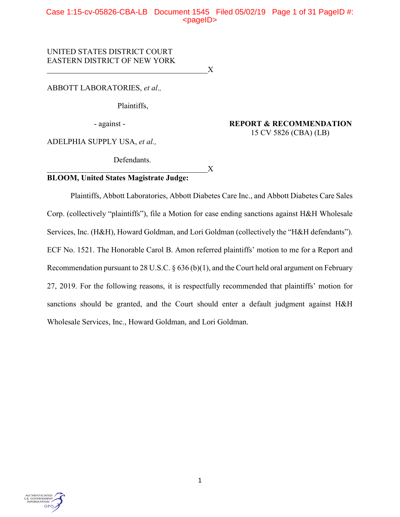# Case 1:15-cv-05826-CBA-LB Document 1545 Filed 05/02/19 Page 1 of 31 PageID #:  $<$ pageID $>$

UNITED STATES DISTRICT COURT EASTERN DISTRICT OF NEW YORK

ABBOTT LABORATORIES, *et al.,*

Plaintiffs,

 $\overline{X}$ 

- against - **REPORT & RECOMMENDATION** 15 CV 5826 (CBA) (LB)

ADELPHIA SUPPLY USA, *et al.,*

Defendants.

# $\overline{X}$ **BLOOM, United States Magistrate Judge:**

Plaintiffs, Abbott Laboratories, Abbott Diabetes Care Inc., and Abbott Diabetes Care Sales Corp. (collectively "plaintiffs"), file a Motion for case ending sanctions against H&H Wholesale Services, Inc. (H&H), Howard Goldman, and Lori Goldman (collectively the "H&H defendants"). ECF No. 1521. The Honorable Carol B. Amon referred plaintiffs' motion to me for a Report and Recommendation pursuant to 28 U.S.C. § 636 (b)(1), and the Court held oral argument on February 27, 2019. For the following reasons, it is respectfully recommended that plaintiffs' motion for sanctions should be granted, and the Court should enter a default judgment against H&H Wholesale Services, Inc., Howard Goldman, and Lori Goldman.

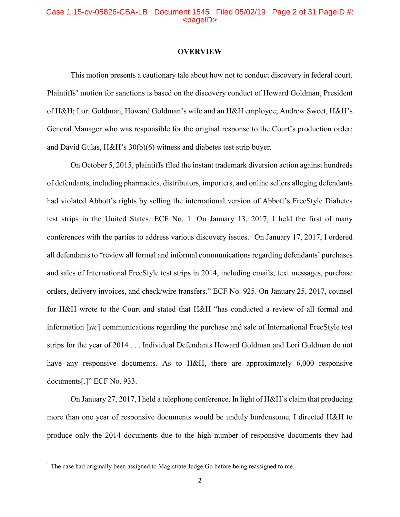# Case 1:15-cv-05826-CBA-LB Document 1545 Filed 05/02/19 Page 2 of 31 PageID #:  $<sub>pa</sub>$ gelD $>$ </sub>

#### **OVERVIEW**

This motion presents a cautionary tale about how not to conduct discovery in federal court. Plaintiffs' motion for sanctions is based on the discovery conduct of Howard Goldman, President of H&H; Lori Goldman, Howard Goldman's wife and an H&H employee; Andrew Sweet, H&H's General Manager who was responsible for the original response to the Court's production order; and David Gulas, H&H's 30(b)(6) witness and diabetes test strip buyer.

On October 5, 2015, plaintiffs filed the instant trademark diversion action against hundreds of defendants, including pharmacies, distributors, importers, and online sellers alleging defendants had violated Abbott's rights by selling the international version of Abbott's FreeStyle Diabetes test strips in the United States. ECF No. 1. On January 13, 2017, I held the first of many conferences with the parties to address various discovery issues.<sup>[1](#page-1-0)</sup> On January 17, 2017, I ordered all defendants to "review all formal and informal communications regarding defendants' purchases and sales of International FreeStyle test strips in 2014, including emails, text messages, purchase orders, delivery invoices, and check/wire transfers." ECF No. 925. On January 25, 2017, counsel for H&H wrote to the Court and stated that H&H "has conducted a review of all formal and information [*sic*] communications regarding the purchase and sale of International FreeStyle test strips for the year of 2014 . . . Individual Defendants Howard Goldman and Lori Goldman do not have any responsive documents. As to H&H, there are approximately 6,000 responsive documents[.]" ECF No. 933.

On January 27, 2017, I held a telephone conference. In light of H&H's claim that producing more than one year of responsive documents would be unduly burdensome, I directed H&H to produce only the 2014 documents due to the high number of responsive documents they had

l

<span id="page-1-0"></span><sup>&</sup>lt;sup>1</sup> The case had originally been assigned to Magistrate Judge Go before being reassigned to me.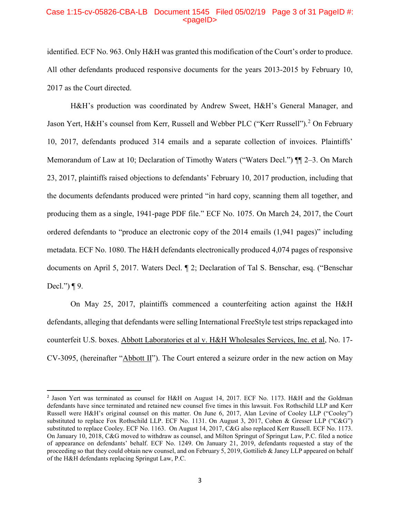#### Case 1:15-cv-05826-CBA-LB Document 1545 Filed 05/02/19 Page 3 of 31 PageID #:  $<$ pageID $>$

identified. ECF No. 963. Only H&H was granted this modification of the Court's order to produce. All other defendants produced responsive documents for the years 2013-2015 by February 10, 2017 as the Court directed.

H&H's production was coordinated by Andrew Sweet, H&H's General Manager, and Jason Yert, H&H's counsel from Kerr, Russell and Webber PLC ("Kerr Russell").<sup>[2](#page-2-0)</sup> On February 10, 2017, defendants produced 314 emails and a separate collection of invoices. Plaintiffs' Memorandum of Law at 10; Declaration of Timothy Waters ("Waters Decl.")  $\P$ [2–3. On March 23, 2017, plaintiffs raised objections to defendants' February 10, 2017 production, including that the documents defendants produced were printed "in hard copy, scanning them all together, and producing them as a single, 1941-page PDF file." ECF No. 1075. On March 24, 2017, the Court ordered defendants to "produce an electronic copy of the 2014 emails (1,941 pages)" including metadata. ECF No. 1080. The H&H defendants electronically produced 4,074 pages of responsive documents on April 5, 2017. Waters Decl. ¶ 2; Declaration of Tal S. Benschar, esq. ("Benschar Decl.")  $\P$ 9.

On May 25, 2017, plaintiffs commenced a counterfeiting action against the H&H defendants, alleging that defendants were selling International FreeStyle test strips repackaged into counterfeit U.S. boxes. Abbott Laboratories et al v. H&H Wholesales Services, Inc. et al, No. 17- CV-3095, (hereinafter "Abbott II"). The Court entered a seizure order in the new action on May

<span id="page-2-0"></span><sup>&</sup>lt;sup>2</sup> Jason Yert was terminated as counsel for H&H on August 14, 2017. ECF No. 1173. H&H and the Goldman defendants have since terminated and retained new counsel five times in this lawsuit. Fox Rothschild LLP and Kerr Russell were H&H's original counsel on this matter. On June 6, 2017, Alan Levine of Cooley LLP ("Cooley") substituted to replace Fox Rothschild LLP. ECF No. 1131. On August 3, 2017, Cohen & Gresser LLP ("C&G") substituted to replace Cooley. ECF No. 1163. On August 14, 2017, C&G also replaced Kerr Russell. ECF No. 1173. On January 10, 2018, C&G moved to withdraw as counsel, and Milton Springut of Springut Law, P.C. filed a notice of appearance on defendants' behalf. ECF No. 1249. On January 21, 2019, defendants requested a stay of the proceeding so that they could obtain new counsel, and on February 5, 2019, Gottilieb & Janey LLP appeared on behalf of the H&H defendants replacing Springut Law, P.C.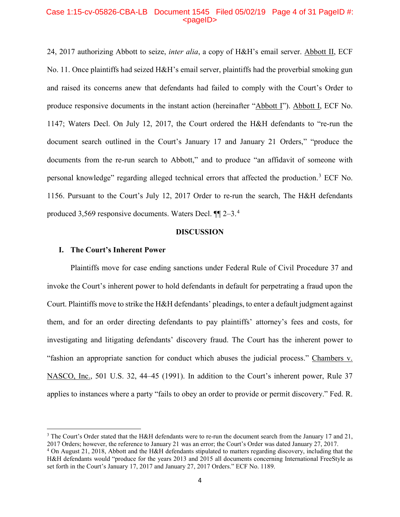#### Case 1:15-cv-05826-CBA-LB Document 1545 Filed 05/02/19 Page 4 of 31 PageID #:  $<$ pageID $>$

24, 2017 authorizing Abbott to seize, *inter alia*, a copy of H&H's email server. Abbott II, ECF No. 11. Once plaintiffs had seized H&H's email server, plaintiffs had the proverbial smoking gun and raised its concerns anew that defendants had failed to comply with the Court's Order to produce responsive documents in the instant action (hereinafter "Abbott I"). Abbott I, ECF No. 1147; Waters Decl. On July 12, 2017, the Court ordered the H&H defendants to "re-run the document search outlined in the Court's January 17 and January 21 Orders," "produce the documents from the re-run search to Abbott," and to produce "an affidavit of someone with personal knowledge" regarding alleged technical errors that affected the production.<sup>[3](#page-3-0)</sup> ECF No. 1156. Pursuant to the Court's July 12, 2017 Order to re-run the search, The H&H defendants produced 3,569 responsive documents. Waters Decl. ¶¶ 2–3.[4](#page-3-1)

#### **DISCUSSION**

#### **I. The Court's Inherent Power**

 $\overline{\phantom{a}}$ 

Plaintiffs move for case ending sanctions under Federal Rule of Civil Procedure 37 and invoke the Court's inherent power to hold defendants in default for perpetrating a fraud upon the Court. Plaintiffs move to strike the H&H defendants' pleadings, to enter a default judgment against them, and for an order directing defendants to pay plaintiffs' attorney's fees and costs, for investigating and litigating defendants' discovery fraud. The Court has the inherent power to "fashion an appropriate sanction for conduct which abuses the judicial process." Chambers v. NASCO, Inc., 501 U.S. 32, 44–45 (1991). In addition to the Court's inherent power, Rule 37 applies to instances where a party "fails to obey an order to provide or permit discovery." Fed. R.

<span id="page-3-0"></span><sup>&</sup>lt;sup>3</sup> The Court's Order stated that the H&H defendants were to re-run the document search from the January 17 and 21, 2017 Orders; however, the reference to January 21 was an error; the Court's Order was dated January 27, 2017.

<span id="page-3-1"></span><sup>&</sup>lt;sup>4</sup> On August 21, 2018, Abbott and the H&H defendants stipulated to matters regarding discovery, including that the H&H defendants would "produce for the years 2013 and 2015 all documents concerning International FreeStyle as set forth in the Court's January 17, 2017 and January 27, 2017 Orders." ECF No. 1189.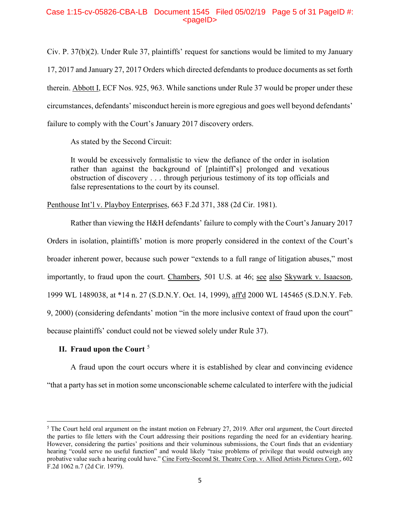# Case 1:15-cv-05826-CBA-LB Document 1545 Filed 05/02/19 Page 5 of 31 PageID #:  $<$ pageID $>$

Civ. P. 37(b)(2). Under Rule 37, plaintiffs' request for sanctions would be limited to my January 17, 2017 and January 27, 2017 Orders which directed defendants to produce documents as set forth therein. Abbott I, ECF Nos. 925, 963. While sanctions under Rule 37 would be proper under these circumstances, defendants' misconduct herein is more egregious and goes well beyond defendants' failure to comply with the Court's January 2017 discovery orders.

As stated by the Second Circuit:

It would be excessively formalistic to view the defiance of the order in isolation rather than against the background of [plaintiff's] prolonged and vexatious obstruction of discovery . . . through perjurious testimony of its top officials and false representations to the court by its counsel.

Penthouse Int'l v. Playboy Enterprises, 663 F.2d 371, 388 (2d Cir. 1981).

Rather than viewing the H&H defendants' failure to comply with the Court's January 2017 Orders in isolation, plaintiffs' motion is more properly considered in the context of the Court's broader inherent power, because such power "extends to a full range of litigation abuses," most importantly, to fraud upon the court. Chambers, 501 U.S. at 46; see also Skywark v. Isaacson, 1999 WL 1489038, at \*14 n. 27 (S.D.N.Y. Oct. 14, 1999), aff'd 2000 WL 145465 (S.D.N.Y. Feb. 9, 2000) (considering defendants' motion "in the more inclusive context of fraud upon the court" because plaintiffs' conduct could not be viewed solely under Rule 37).

# **II. Fraud upon the Court** [5](#page-4-0)

 $\overline{a}$ 

A fraud upon the court occurs where it is established by clear and convincing evidence

"that a party has set in motion some unconscionable scheme calculated to interfere with the judicial

<span id="page-4-0"></span> $5$  The Court held oral argument on the instant motion on February 27, 2019. After oral argument, the Court directed the parties to file letters with the Court addressing their positions regarding the need for an evidentiary hearing. However, considering the parties' positions and their voluminous submissions, the Court finds that an evidentiary hearing "could serve no useful function" and would likely "raise problems of privilege that would outweigh any probative value such a hearing could have." Cine Forty-Second St. Theatre Corp. v. Allied Artists Pictures Corp., 602 F.2d 1062 n.7 (2d Cir. 1979).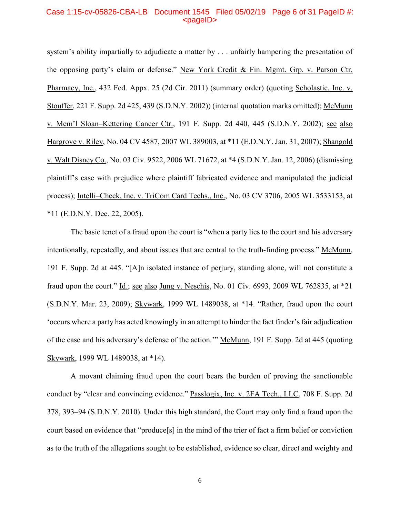## Case 1:15-cv-05826-CBA-LB Document 1545 Filed 05/02/19 Page 6 of 31 PageID #: <pageID>

system's ability impartially to adjudicate a matter by . . . unfairly hampering the presentation of the opposing party's claim or defense." New York Credit & Fin. Mgmt. Grp. v. Parson Ctr. Pharmacy, Inc., 432 Fed. Appx. 25 (2d Cir. 2011) (summary order) (quoting Scholastic, Inc. v. Stouffer, 221 F. Supp. 2d 425, 439 (S.D.N.Y. 2002)) (internal quotation marks omitted); McMunn v. Mem'l Sloan–Kettering Cancer Ctr., 191 F. Supp. 2d 440, 445 (S.D.N.Y. 2002); see also Hargrove v. Riley, No. 04 CV 4587, 2007 WL 389003, at \*11 (E.D.N.Y. Jan. 31, 2007); Shangold v. Walt Disney Co., No. 03 Civ. 9522, 2006 WL 71672, at \*4 (S.D.N.Y. Jan. 12, 2006) (dismissing plaintiff's case with prejudice where plaintiff fabricated evidence and manipulated the judicial process); Intelli–Check, Inc. v. TriCom Card Techs., Inc., No. 03 CV 3706, 2005 WL 3533153, at \*11 (E.D.N.Y. Dec. 22, 2005).

The basic tenet of a fraud upon the court is "when a party lies to the court and his adversary intentionally, repeatedly, and about issues that are central to the truth-finding process." McMunn, 191 F. Supp. 2d at 445. "[A]n isolated instance of perjury, standing alone, will not constitute a fraud upon the court." Id.; see also Jung v. Neschis, No. 01 Civ. 6993, 2009 WL 762835, at \*21 (S.D.N.Y. Mar. 23, 2009); Skywark, 1999 WL 1489038, at \*14. "Rather, fraud upon the court 'occurs where a party has acted knowingly in an attempt to hinder the fact finder's fair adjudication of the case and his adversary's defense of the action." McMunn, 191 F. Supp. 2d at 445 (quoting Skywark, 1999 WL 1489038, at \*14).

A movant claiming fraud upon the court bears the burden of proving the sanctionable conduct by "clear and convincing evidence." Passlogix, Inc. v. 2FA Tech., LLC, 708 F. Supp. 2d 378, 393–94 (S.D.N.Y. 2010). Under this high standard, the Court may only find a fraud upon the court based on evidence that "produce[s] in the mind of the trier of fact a firm belief or conviction as to the truth of the allegations sought to be established, evidence so clear, direct and weighty and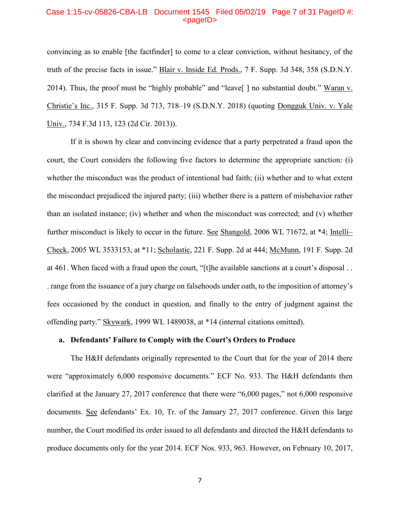#### Case 1:15-cv-05826-CBA-LB Document 1545 Filed 05/02/19 Page 7 of 31 PageID #: <pageID>

convincing as to enable [the factfinder] to come to a clear conviction, without hesitancy, of the truth of the precise facts in issue." Blair v. Inside Ed. Prods., 7 F. Supp. 3d 348, 358 (S.D.N.Y. 2014). Thus, the proof must be "highly probable" and "leave[ ] no substantial doubt." Waran v. Christie's Inc., 315 F. Supp. 3d 713, 718–19 (S.D.N.Y. 2018) (quoting Dongguk Univ. v. Yale Univ., 734 F.3d 113, 123 (2d Cir. 2013)).

If it is shown by clear and convincing evidence that a party perpetrated a fraud upon the court, the Court considers the following five factors to determine the appropriate sanction: (i) whether the misconduct was the product of intentional bad faith; (ii) whether and to what extent the misconduct prejudiced the injured party; (iii) whether there is a pattern of misbehavior rather than an isolated instance; (iv) whether and when the misconduct was corrected; and (v) whether further misconduct is likely to occur in the future. See Shangold, 2006 WL 71672, at \*4; Intelli– Check, 2005 WL 3533153, at \*11; Scholastic, 221 F. Supp. 2d at 444; McMunn, 191 F. Supp. 2d at 461. When faced with a fraud upon the court, "[t]he available sanctions at a court's disposal . . . range from the issuance of a jury charge on falsehoods under oath, to the imposition of attorney's fees occasioned by the conduct in question, and finally to the entry of judgment against the offending party." Skywark, 1999 WL 1489038, at \*14 (internal citations omitted).

# **a. Defendants' Failure to Comply with the Court's Orders to Produce**

The H&H defendants originally represented to the Court that for the year of 2014 there were "approximately 6,000 responsive documents." ECF No. 933. The H&H defendants then clarified at the January 27, 2017 conference that there were "6,000 pages," not 6,000 responsive documents. See defendants' Ex. 10, Tr. of the January 27, 2017 conference. Given this large number, the Court modified its order issued to all defendants and directed the H&H defendants to produce documents only for the year 2014. ECF Nos. 933, 963. However, on February 10, 2017,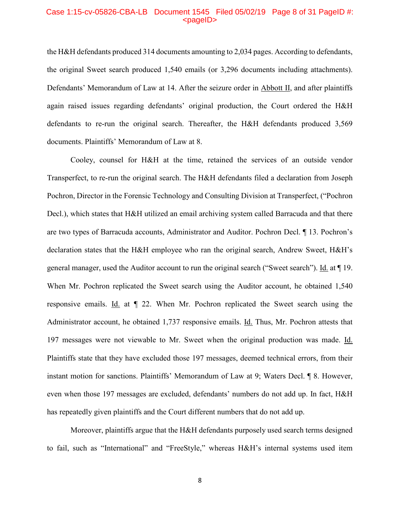#### Case 1:15-cv-05826-CBA-LB Document 1545 Filed 05/02/19 Page 8 of 31 PageID #:  $<sub>pa</sub>$ gelD $>$ </sub>

the H&H defendants produced 314 documents amounting to 2,034 pages. According to defendants, the original Sweet search produced 1,540 emails (or 3,296 documents including attachments). Defendants' Memorandum of Law at 14. After the seizure order in Abbott II, and after plaintiffs again raised issues regarding defendants' original production, the Court ordered the H&H defendants to re-run the original search. Thereafter, the H&H defendants produced 3,569 documents. Plaintiffs' Memorandum of Law at 8.

Cooley, counsel for H&H at the time, retained the services of an outside vendor Transperfect, to re-run the original search. The H&H defendants filed a declaration from Joseph Pochron, Director in the Forensic Technology and Consulting Division at Transperfect, ("Pochron Decl.), which states that H&H utilized an email archiving system called Barracuda and that there are two types of Barracuda accounts, Administrator and Auditor. Pochron Decl. ¶ 13. Pochron's declaration states that the H&H employee who ran the original search, Andrew Sweet, H&H's general manager, used the Auditor account to run the original search ("Sweet search"). Id. at ¶ 19. When Mr. Pochron replicated the Sweet search using the Auditor account, he obtained 1,540 responsive emails. Id. at  $\P$  22. When Mr. Pochron replicated the Sweet search using the Administrator account, he obtained 1,737 responsive emails. Id. Thus, Mr. Pochron attests that 197 messages were not viewable to Mr. Sweet when the original production was made. Id. Plaintiffs state that they have excluded those 197 messages, deemed technical errors, from their instant motion for sanctions. Plaintiffs' Memorandum of Law at 9; Waters Decl. ¶ 8. However, even when those 197 messages are excluded, defendants' numbers do not add up. In fact, H&H has repeatedly given plaintiffs and the Court different numbers that do not add up.

Moreover, plaintiffs argue that the H&H defendants purposely used search terms designed to fail, such as "International" and "FreeStyle," whereas H&H's internal systems used item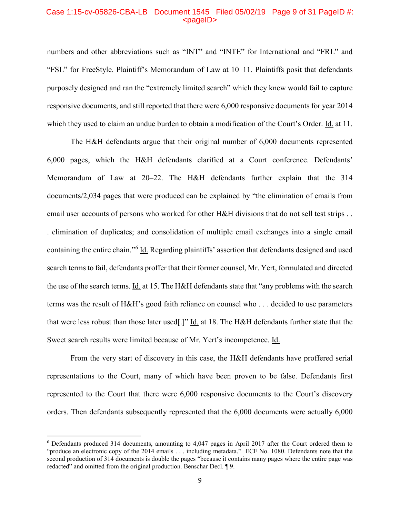#### Case 1:15-cv-05826-CBA-LB Document 1545 Filed 05/02/19 Page 9 of 31 PageID #:  $<sub>pa</sub>$  $<sub>o</sub>$ </sub></sub>

numbers and other abbreviations such as "INT" and "INTE" for International and "FRL" and "FSL" for FreeStyle. Plaintiff's Memorandum of Law at 10–11. Plaintiffs posit that defendants purposely designed and ran the "extremely limited search" which they knew would fail to capture responsive documents, and still reported that there were 6,000 responsive documents for year 2014 which they used to claim an undue burden to obtain a modification of the Court's Order. Id. at 11.

The H&H defendants argue that their original number of 6,000 documents represented 6,000 pages, which the H&H defendants clarified at a Court conference. Defendants' Memorandum of Law at 20–22. The H&H defendants further explain that the 314 documents/2,034 pages that were produced can be explained by "the elimination of emails from email user accounts of persons who worked for other H&H divisions that do not sell test strips . . . elimination of duplicates; and consolidation of multiple email exchanges into a single email containing the entire chain."[6](#page-8-0) Id. Regarding plaintiffs' assertion that defendants designed and used search terms to fail, defendants proffer that their former counsel, Mr. Yert, formulated and directed the use of the search terms. Id. at 15. The H&H defendants state that "any problems with the search terms was the result of H&H's good faith reliance on counsel who . . . decided to use parameters that were less robust than those later used[.]" Id. at 18. The H&H defendants further state that the Sweet search results were limited because of Mr. Yert's incompetence. Id.

From the very start of discovery in this case, the H&H defendants have proffered serial representations to the Court, many of which have been proven to be false. Defendants first represented to the Court that there were 6,000 responsive documents to the Court's discovery orders. Then defendants subsequently represented that the 6,000 documents were actually 6,000

<span id="page-8-0"></span> <sup>6</sup> Defendants produced 314 documents, amounting to 4,047 pages in April 2017 after the Court ordered them to "produce an electronic copy of the 2014 emails . . . including metadata." ECF No. 1080. Defendants note that the second production of 314 documents is double the pages "because it contains many pages where the entire page was redacted" and omitted from the original production. Benschar Decl. ¶ 9.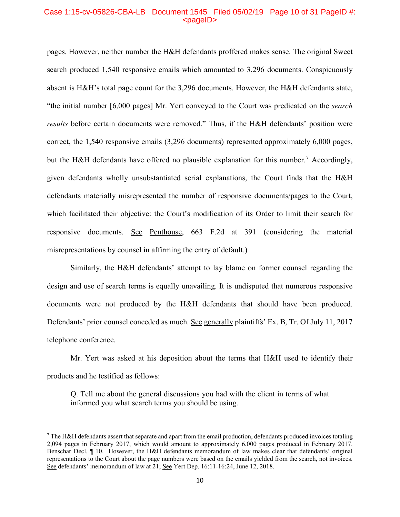# Case 1:15-cv-05826-CBA-LB Document 1545 Filed 05/02/19 Page 10 of 31 PageID #:  $<sub>pa</sub>$  $<sub>o</sub>$ </sub></sub>

pages. However, neither number the H&H defendants proffered makes sense. The original Sweet search produced 1,540 responsive emails which amounted to 3,296 documents. Conspicuously absent is H&H's total page count for the 3,296 documents. However, the H&H defendants state, "the initial number [6,000 pages] Mr. Yert conveyed to the Court was predicated on the *search results* before certain documents were removed." Thus, if the H&H defendants' position were correct, the 1,540 responsive emails (3,296 documents) represented approximately 6,000 pages, but the H&H defendants have offered no plausible explanation for this number.<sup>[7](#page-9-0)</sup> Accordingly, given defendants wholly unsubstantiated serial explanations, the Court finds that the H&H defendants materially misrepresented the number of responsive documents/pages to the Court, which facilitated their objective: the Court's modification of its Order to limit their search for responsive documents. See Penthouse, 663 F.2d at 391 (considering the material misrepresentations by counsel in affirming the entry of default.)

Similarly, the H&H defendants' attempt to lay blame on former counsel regarding the design and use of search terms is equally unavailing. It is undisputed that numerous responsive documents were not produced by the H&H defendants that should have been produced. Defendants' prior counsel conceded as much. See generally plaintiffs' Ex. B, Tr. Of July 11, 2017 telephone conference.

Mr. Yert was asked at his deposition about the terms that H&H used to identify their products and he testified as follows:

Q. Tell me about the general discussions you had with the client in terms of what informed you what search terms you should be using.

 $\overline{\phantom{a}}$ 

<span id="page-9-0"></span> $7$  The H&H defendants assert that separate and apart from the email production, defendants produced invoices totaling 2,094 pages in February 2017, which would amount to approximately 6,000 pages produced in February 2017. Benschar Decl. ¶ 10. However, the H&H defendants memorandum of law makes clear that defendants' original representations to the Court about the page numbers were based on the emails yielded from the search, not invoices. See defendants' memorandum of law at 21; See Yert Dep. 16:11-16:24, June 12, 2018.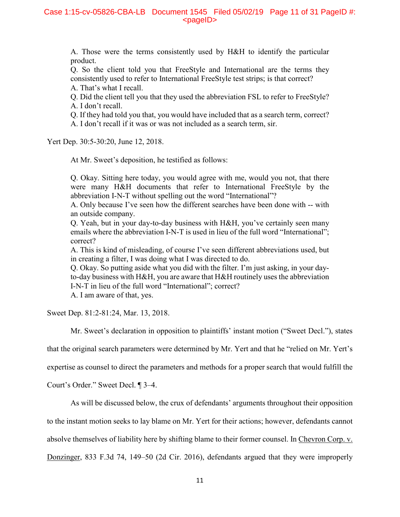A. Those were the terms consistently used by H&H to identify the particular product.

Q. So the client told you that FreeStyle and International are the terms they consistently used to refer to International FreeStyle test strips; is that correct?

- A. That's what I recall.
- Q. Did the client tell you that they used the abbreviation FSL to refer to FreeStyle? A. I don't recall.

Q. If they had told you that, you would have included that as a search term, correct?

A. I don't recall if it was or was not included as a search term, sir.

Yert Dep. 30:5-30:20, June 12, 2018.

At Mr. Sweet's deposition, he testified as follows:

Q. Okay. Sitting here today, you would agree with me, would you not, that there were many H&H documents that refer to International FreeStyle by the abbreviation I-N-T without spelling out the word "International"?

A. Only because I've seen how the different searches have been done with -- with an outside company.

Q. Yeah, but in your day-to-day business with H&H, you've certainly seen many emails where the abbreviation I-N-T is used in lieu of the full word "International"; correct?

A. This is kind of misleading, of course I've seen different abbreviations used, but in creating a filter, I was doing what I was directed to do.

Q. Okay. So putting aside what you did with the filter. I'm just asking, in your dayto-day business with H&H, you are aware that H&H routinely uses the abbreviation I-N-T in lieu of the full word "International"; correct?

A. I am aware of that, yes.

Sweet Dep. 81:2-81:24, Mar. 13, 2018.

Mr. Sweet's declaration in opposition to plaintiffs' instant motion ("Sweet Decl."), states

that the original search parameters were determined by Mr. Yert and that he "relied on Mr. Yert's

expertise as counsel to direct the parameters and methods for a proper search that would fulfill the

Court's Order." Sweet Decl. ¶ 3–4.

As will be discussed below, the crux of defendants' arguments throughout their opposition

to the instant motion seeks to lay blame on Mr. Yert for their actions; however, defendants cannot

absolve themselves of liability here by shifting blame to their former counsel. In Chevron Corp. v.

Donzinger, 833 F.3d 74, 149–50 (2d Cir. 2016), defendants argued that they were improperly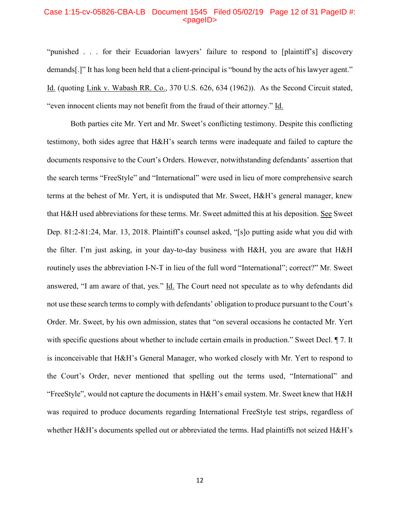#### Case 1:15-cv-05826-CBA-LB Document 1545 Filed 05/02/19 Page 12 of 31 PageID #: <pageID>

"punished . . . for their Ecuadorian lawyers' failure to respond to [plaintiff's] discovery demands[.]" It has long been held that a client-principal is "bound by the acts of his lawyer agent." Id. (quoting Link v. Wabash RR. Co., 370 U.S. 626, 634 (1962)). As the Second Circuit stated, "even innocent clients may not benefit from the fraud of their attorney." Id.

Both parties cite Mr. Yert and Mr. Sweet's conflicting testimony. Despite this conflicting testimony, both sides agree that H&H's search terms were inadequate and failed to capture the documents responsive to the Court's Orders. However, notwithstanding defendants' assertion that the search terms "FreeStyle" and "International" were used in lieu of more comprehensive search terms at the behest of Mr. Yert, it is undisputed that Mr. Sweet, H&H's general manager, knew that H&H used abbreviations for these terms. Mr. Sweet admitted this at his deposition. See Sweet Dep. 81:2-81:24, Mar. 13, 2018. Plaintiff's counsel asked, "[s]o putting aside what you did with the filter. I'm just asking, in your day-to-day business with H&H, you are aware that H&H routinely uses the abbreviation I-N-T in lieu of the full word "International"; correct?" Mr. Sweet answered, "I am aware of that, yes." Id. The Court need not speculate as to why defendants did not use these search terms to comply with defendants' obligation to produce pursuant to the Court's Order. Mr. Sweet, by his own admission, states that "on several occasions he contacted Mr. Yert with specific questions about whether to include certain emails in production." Sweet Decl.  $\P$  7. It is inconceivable that H&H's General Manager, who worked closely with Mr. Yert to respond to the Court's Order, never mentioned that spelling out the terms used, "International" and "FreeStyle", would not capture the documents in H&H's email system. Mr. Sweet knew that H&H was required to produce documents regarding International FreeStyle test strips, regardless of whether H&H's documents spelled out or abbreviated the terms. Had plaintiffs not seized H&H's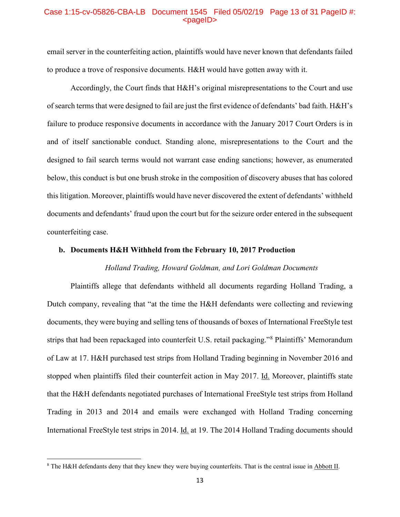# Case 1:15-cv-05826-CBA-LB Document 1545 Filed 05/02/19 Page 13 of 31 PageID #: <pageID>

email server in the counterfeiting action, plaintiffs would have never known that defendants failed to produce a trove of responsive documents. H&H would have gotten away with it.

Accordingly, the Court finds that H&H's original misrepresentations to the Court and use of search terms that were designed to fail are just the first evidence of defendants' bad faith. H&H's failure to produce responsive documents in accordance with the January 2017 Court Orders is in and of itself sanctionable conduct. Standing alone, misrepresentations to the Court and the designed to fail search terms would not warrant case ending sanctions; however, as enumerated below, this conduct is but one brush stroke in the composition of discovery abuses that has colored this litigation. Moreover, plaintiffs would have never discovered the extent of defendants' withheld documents and defendants' fraud upon the court but for the seizure order entered in the subsequent counterfeiting case.

## **b. Documents H&H Withheld from the February 10, 2017 Production**

# *Holland Trading, Howard Goldman, and Lori Goldman Documents*

Plaintiffs allege that defendants withheld all documents regarding Holland Trading, a Dutch company, revealing that "at the time the H&H defendants were collecting and reviewing documents, they were buying and selling tens of thousands of boxes of International FreeStyle test strips that had been repackaged into counterfeit U.S. retail packaging."[8](#page-12-0) Plaintiffs' Memorandum of Law at 17. H&H purchased test strips from Holland Trading beginning in November 2016 and stopped when plaintiffs filed their counterfeit action in May 2017. Id. Moreover, plaintiffs state that the H&H defendants negotiated purchases of International FreeStyle test strips from Holland Trading in 2013 and 2014 and emails were exchanged with Holland Trading concerning International FreeStyle test strips in 2014. Id. at 19. The 2014 Holland Trading documents should

l

<span id="page-12-0"></span><sup>8</sup> The H&H defendants deny that they knew they were buying counterfeits. That is the central issue in Abbott II.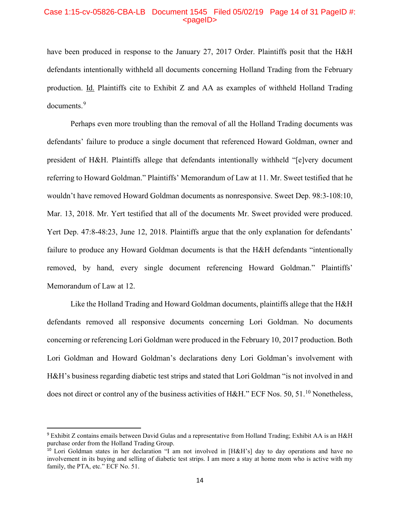## Case 1:15-cv-05826-CBA-LB Document 1545 Filed 05/02/19 Page 14 of 31 PageID #:  $<sub>pa</sub>$  $<sub>o</sub>$ </sub></sub>

have been produced in response to the January 27, 2017 Order. Plaintiffs posit that the H&H defendants intentionally withheld all documents concerning Holland Trading from the February production. Id. Plaintiffs cite to Exhibit Z and AA as examples of withheld Holland Trading documents.<sup>[9](#page-13-0)</sup>

Perhaps even more troubling than the removal of all the Holland Trading documents was defendants' failure to produce a single document that referenced Howard Goldman, owner and president of H&H. Plaintiffs allege that defendants intentionally withheld "[e]very document referring to Howard Goldman." Plaintiffs' Memorandum of Law at 11. Mr. Sweet testified that he wouldn't have removed Howard Goldman documents as nonresponsive. Sweet Dep. 98:3-108:10, Mar. 13, 2018. Mr. Yert testified that all of the documents Mr. Sweet provided were produced. Yert Dep. 47:8-48:23, June 12, 2018. Plaintiffs argue that the only explanation for defendants' failure to produce any Howard Goldman documents is that the H&H defendants "intentionally removed, by hand, every single document referencing Howard Goldman." Plaintiffs' Memorandum of Law at 12.

Like the Holland Trading and Howard Goldman documents, plaintiffs allege that the H&H defendants removed all responsive documents concerning Lori Goldman. No documents concerning or referencing Lori Goldman were produced in the February 10, 2017 production. Both Lori Goldman and Howard Goldman's declarations deny Lori Goldman's involvement with H&H's business regarding diabetic test strips and stated that Lori Goldman "is not involved in and does not direct or control any of the business activities of H&H." ECF Nos. 50, 51.<sup>[10](#page-13-1)</sup> Nonetheless,

<span id="page-13-0"></span> <sup>9</sup> Exhibit Z contains emails between David Gulas and a representative from Holland Trading; Exhibit AA is an H&H purchase order from the Holland Trading Group.

<span id="page-13-1"></span><sup>&</sup>lt;sup>10</sup> Lori Goldman states in her declaration "I am not involved in [H&H's] day to day operations and have no involvement in its buying and selling of diabetic test strips. I am more a stay at home mom who is active with my family, the PTA, etc." ECF No. 51.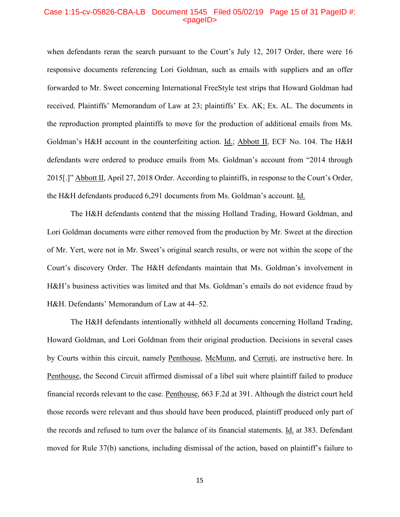#### Case 1:15-cv-05826-CBA-LB Document 1545 Filed 05/02/19 Page 15 of 31 PageID #: <pageID>

when defendants reran the search pursuant to the Court's July 12, 2017 Order, there were 16 responsive documents referencing Lori Goldman, such as emails with suppliers and an offer forwarded to Mr. Sweet concerning International FreeStyle test strips that Howard Goldman had received. Plaintiffs' Memorandum of Law at 23; plaintiffs' Ex. AK; Ex. AL. The documents in the reproduction prompted plaintiffs to move for the production of additional emails from Ms. Goldman's H&H account in the counterfeiting action. Id.; Abbott II, ECF No. 104. The H&H defendants were ordered to produce emails from Ms. Goldman's account from "2014 through 2015[.]" Abbott II, April 27, 2018 Order. According to plaintiffs, in response to the Court's Order, the H&H defendants produced 6,291 documents from Ms. Goldman's account. Id.

The H&H defendants contend that the missing Holland Trading, Howard Goldman, and Lori Goldman documents were either removed from the production by Mr. Sweet at the direction of Mr. Yert, were not in Mr. Sweet's original search results, or were not within the scope of the Court's discovery Order. The H&H defendants maintain that Ms. Goldman's involvement in H&H's business activities was limited and that Ms. Goldman's emails do not evidence fraud by H&H. Defendants' Memorandum of Law at 44–52.

The H&H defendants intentionally withheld all documents concerning Holland Trading, Howard Goldman, and Lori Goldman from their original production. Decisions in several cases by Courts within this circuit, namely Penthouse, McMunn, and Cerruti, are instructive here. In Penthouse, the Second Circuit affirmed dismissal of a libel suit where plaintiff failed to produce financial records relevant to the case. Penthouse, 663 F.2d at 391. Although the district court held those records were relevant and thus should have been produced, plaintiff produced only part of the records and refused to turn over the balance of its financial statements. Id. at 383. Defendant moved for Rule 37(b) sanctions, including dismissal of the action, based on plaintiff's failure to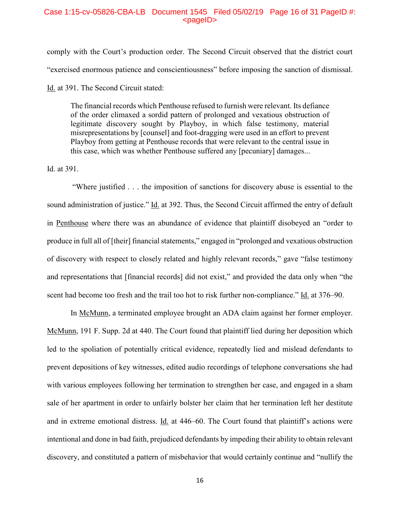## Case 1:15-cv-05826-CBA-LB Document 1545 Filed 05/02/19 Page 16 of 31 PageID #:  $<sub>pa</sub>$  $<sub>o</sub>$ </sub></sub>

comply with the Court's production order. The Second Circuit observed that the district court "exercised enormous patience and conscientiousness" before imposing the sanction of dismissal. Id. at 391. The Second Circuit stated:

The financial records which Penthouse refused to furnish were relevant. Its defiance of the order climaxed a sordid pattern of prolonged and vexatious obstruction of legitimate discovery sought by Playboy, in which false testimony, material misrepresentations by [counsel] and foot-dragging were used in an effort to prevent Playboy from getting at Penthouse records that were relevant to the central issue in this case, which was whether Penthouse suffered any [pecuniary] damages...

Id. at 391.

"Where justified . . . the imposition of sanctions for discovery abuse is essential to the sound administration of justice." Id. at 392. Thus, the Second Circuit affirmed the entry of default in Penthouse where there was an abundance of evidence that plaintiff disobeyed an "order to produce in full all of [their] financial statements," engaged in "prolonged and vexatious obstruction of discovery with respect to closely related and highly relevant records," gave "false testimony and representations that [financial records] did not exist," and provided the data only when "the scent had become too fresh and the trail too hot to risk further non-compliance." Id. at 376–90.

In McMunn, a terminated employee brought an ADA claim against her former employer. McMunn, 191 F. Supp. 2d at 440. The Court found that plaintiff lied during her deposition which led to the spoliation of potentially critical evidence, repeatedly lied and mislead defendants to prevent depositions of key witnesses, edited audio recordings of telephone conversations she had with various employees following her termination to strengthen her case, and engaged in a sham sale of her apartment in order to unfairly bolster her claim that her termination left her destitute and in extreme emotional distress. Id. at 446–60. The Court found that plaintiff's actions were intentional and done in bad faith, prejudiced defendants by impeding their ability to obtain relevant discovery, and constituted a pattern of misbehavior that would certainly continue and "nullify the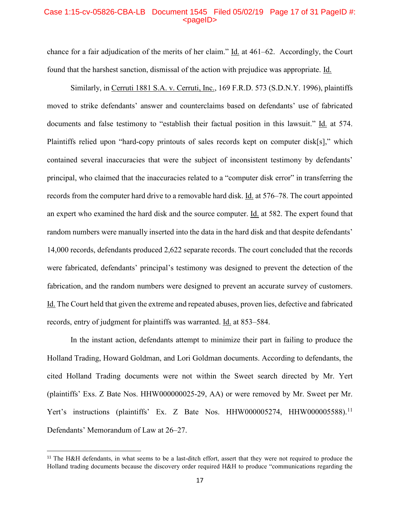## Case 1:15-cv-05826-CBA-LB Document 1545 Filed 05/02/19 Page 17 of 31 PageID #:  $<sub>pa</sub>$  $<sub>o</sub>$ </sub></sub>

chance for a fair adjudication of the merits of her claim."  $\underline{Id}$  at 461–62. Accordingly, the Court found that the harshest sanction, dismissal of the action with prejudice was appropriate. Id.

Similarly, in Cerruti 1881 S.A. v. Cerruti, Inc., 169 F.R.D. 573 (S.D.N.Y. 1996), plaintiffs moved to strike defendants' answer and counterclaims based on defendants' use of fabricated documents and false testimony to "establish their factual position in this lawsuit." Id. at 574. Plaintiffs relied upon "hard-copy printouts of sales records kept on computer disk[s]," which contained several inaccuracies that were the subject of inconsistent testimony by defendants' principal, who claimed that the inaccuracies related to a "computer disk error" in transferring the records from the computer hard drive to a removable hard disk. Id. at 576–78. The court appointed an expert who examined the hard disk and the source computer. Id. at 582. The expert found that random numbers were manually inserted into the data in the hard disk and that despite defendants' 14,000 records, defendants produced 2,622 separate records. The court concluded that the records were fabricated, defendants' principal's testimony was designed to prevent the detection of the fabrication, and the random numbers were designed to prevent an accurate survey of customers. Id. The Court held that given the extreme and repeated abuses, proven lies, defective and fabricated records, entry of judgment for plaintiffs was warranted. Id. at 853–584.

In the instant action, defendants attempt to minimize their part in failing to produce the Holland Trading, Howard Goldman, and Lori Goldman documents. According to defendants, the cited Holland Trading documents were not within the Sweet search directed by Mr. Yert (plaintiffs' Exs. Z Bate Nos. HHW000000025-29, AA) or were removed by Mr. Sweet per Mr. Yert's instructions (plaintiffs' Ex. Z Bate Nos. HHW000005274, HHW000005588).<sup>[11](#page-16-0)</sup> Defendants' Memorandum of Law at 26–27.

<span id="page-16-0"></span><sup>&</sup>lt;sup>11</sup> The H&H defendants, in what seems to be a last-ditch effort, assert that they were not required to produce the Holland trading documents because the discovery order required H&H to produce "communications regarding the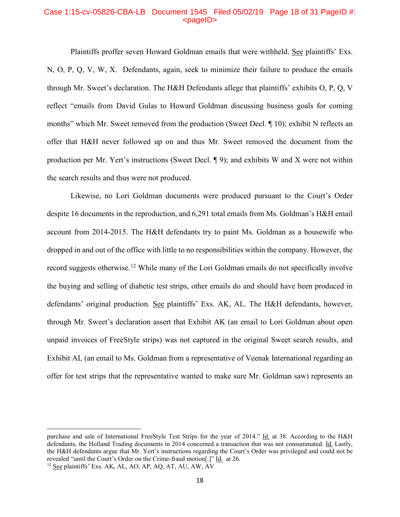### Case 1:15-cv-05826-CBA-LB Document 1545 Filed 05/02/19 Page 18 of 31 PageID #:  $<sub>pa</sub>$  $<sub>o</sub>$ </sub></sub>

Plaintiffs proffer seven Howard Goldman emails that were withheld. See plaintiffs' Exs. N, O, P, Q, V, W, X. Defendants, again, seek to minimize their failure to produce the emails through Mr. Sweet's declaration. The H&H Defendants allege that plaintiffs' exhibits O, P, Q, V reflect "emails from David Gulas to Howard Goldman discussing business goals for coming months" which Mr. Sweet removed from the production (Sweet Decl. ¶ 10); exhibit N reflects an offer that H&H never followed up on and thus Mr. Sweet removed the document from the production per Mr. Yert's instructions (Sweet Decl. ¶ 9); and exhibits W and X were not within the search results and thus were not produced.

Likewise, no Lori Goldman documents were produced pursuant to the Court's Order despite 16 documents in the reproduction, and 6,291 total emails from Ms. Goldman's H&H email account from 2014-2015. The H&H defendants try to paint Ms. Goldman as a housewife who dropped in and out of the office with little to no responsibilities within the company. However, the record suggests otherwise.<sup>[12](#page-17-0)</sup> While many of the Lori Goldman emails do not specifically involve the buying and selling of diabetic test strips, other emails do and should have been produced in defendants' original production. See plaintiffs' Exs. AK, AL. The H&H defendants, however, through Mr. Sweet's declaration assert that Exhibit AK (an email to Lori Goldman about open unpaid invoices of FreeStyle strips) was not captured in the original Sweet search results, and Exhibit AL (an email to Ms. Goldman from a representative of Veenak International regarding an offer for test strips that the representative wanted to make sure Mr. Goldman saw) represents an

 $\overline{\phantom{a}}$ 

purchase and sale of International FreeStyle Test Strips for the year of 2014." Id. at 38. According to the H&H defendants, the Holland Trading documents in 2014 concerned a transaction that was not consummated. Id. Lastly, the H&H defendants argue that Mr. Yert's instructions regarding the Court's Order was privileged and could not be revealed "until the Court's Order on the Crime-fraud motion<sup>[1]</sup> Id. at 26.

<span id="page-17-0"></span><sup>&</sup>lt;sup>12</sup> See plaintiffs' Exs. AK, AL, AO, AP, AQ, AT, AU, AW, AV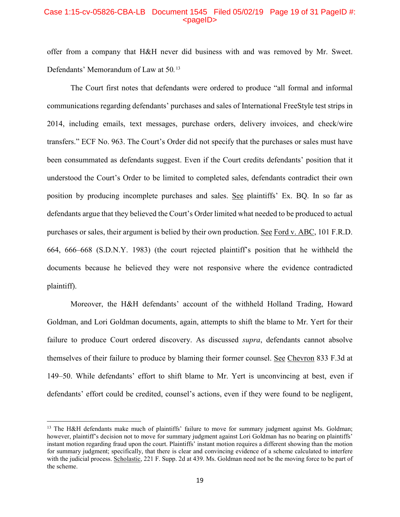# Case 1:15-cv-05826-CBA-LB Document 1545 Filed 05/02/19 Page 19 of 31 PageID #:  $<sub>pa</sub>$  $<sub>o</sub>$ </sub></sub>

offer from a company that H&H never did business with and was removed by Mr. Sweet. Defendants' Memorandum of Law at 50*.* [13](#page-18-0)

The Court first notes that defendants were ordered to produce "all formal and informal communications regarding defendants' purchases and sales of International FreeStyle test strips in 2014, including emails, text messages, purchase orders, delivery invoices, and check/wire transfers." ECF No. 963. The Court's Order did not specify that the purchases or sales must have been consummated as defendants suggest. Even if the Court credits defendants' position that it understood the Court's Order to be limited to completed sales, defendants contradict their own position by producing incomplete purchases and sales. See plaintiffs' Ex. BQ. In so far as defendants argue that they believed the Court's Order limited what needed to be produced to actual purchases or sales, their argument is belied by their own production. See Ford v. ABC, 101 F.R.D. 664, 666–668 (S.D.N.Y. 1983) (the court rejected plaintiff's position that he withheld the documents because he believed they were not responsive where the evidence contradicted plaintiff).

Moreover, the H&H defendants' account of the withheld Holland Trading, Howard Goldman, and Lori Goldman documents, again, attempts to shift the blame to Mr. Yert for their failure to produce Court ordered discovery. As discussed *supra*, defendants cannot absolve themselves of their failure to produce by blaming their former counsel. See Chevron 833 F.3d at 149–50. While defendants' effort to shift blame to Mr. Yert is unconvincing at best, even if defendants' effort could be credited, counsel's actions, even if they were found to be negligent,

 $\overline{a}$ 

<span id="page-18-0"></span><sup>&</sup>lt;sup>13</sup> The H&H defendants make much of plaintiffs' failure to move for summary judgment against Ms. Goldman; however, plaintiff's decision not to move for summary judgment against Lori Goldman has no bearing on plaintiffs' instant motion regarding fraud upon the court. Plaintiffs' instant motion requires a different showing than the motion for summary judgment; specifically, that there is clear and convincing evidence of a scheme calculated to interfere with the judicial process. Scholastic, 221 F. Supp. 2d at 439. Ms. Goldman need not be the moving force to be part of the scheme.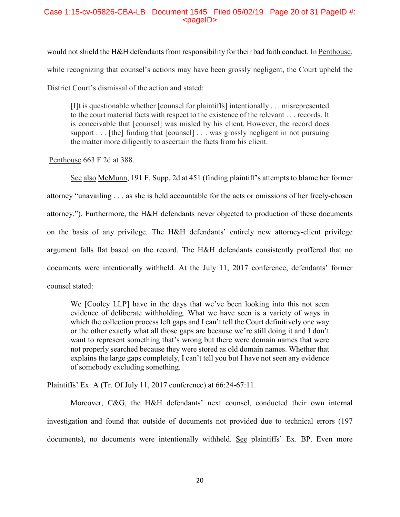# Case 1:15-cv-05826-CBA-LB Document 1545 Filed 05/02/19 Page 20 of 31 PageID #:  $<$ pageID $>$

would not shield the H&H defendants from responsibility for their bad faith conduct. In Penthouse, while recognizing that counsel's actions may have been grossly negligent, the Court upheld the District Court's dismissal of the action and stated:

[I]t is questionable whether [counsel for plaintiffs] intentionally . . . misrepresented to the court material facts with respect to the existence of the relevant . . . records. It is conceivable that [counsel] was misled by his client. However, the record does support . . . [the] finding that [counsel] . . . was grossly negligent in not pursuing the matter more diligently to ascertain the facts from his client.

[Penthouse](https://1.next.westlaw.com/Link/Document/FullText?findType=Y&serNum=1981146502&pubNum=350&originatingDoc=Ideaa5b4053b611d9b17ee4cdc604a702&refType=RP&fi=co_pp_sp_350_388&originationContext=document&transitionType=DocumentItem&contextData=(sc.Keycite)#co_pp_sp_350_388) 663 F.2d at 388.

See also McMunn, 191 F. Supp. 2d at 451 (finding plaintiff's attempts to blame her former attorney "unavailing . . . as she is held accountable for the acts or omissions of her freely-chosen attorney."). Furthermore, the H&H defendants never objected to production of these documents on the basis of any privilege. The H&H defendants' entirely new attorney-client privilege argument falls flat based on the record. The H&H defendants consistently proffered that no documents were intentionally withheld. At the July 11, 2017 conference, defendants' former counsel stated:

We [Cooley LLP] have in the days that we've been looking into this not seen evidence of deliberate withholding. What we have seen is a variety of ways in which the collection process left gaps and I can't tell the Court definitively one way or the other exactly what all those gaps are because we're still doing it and I don't want to represent something that's wrong but there were domain names that were not properly searched because they were stored as old domain names. Whether that explains the large gaps completely, I can't tell you but I have not seen any evidence of somebody excluding something.

Plaintiffs' Ex. A (Tr. Of July 11, 2017 conference) at 66:24-67:11.

Moreover, C&G, the H&H defendants' next counsel, conducted their own internal investigation and found that outside of documents not provided due to technical errors (197 documents), no documents were intentionally withheld. See plaintiffs' Ex. BP. Even more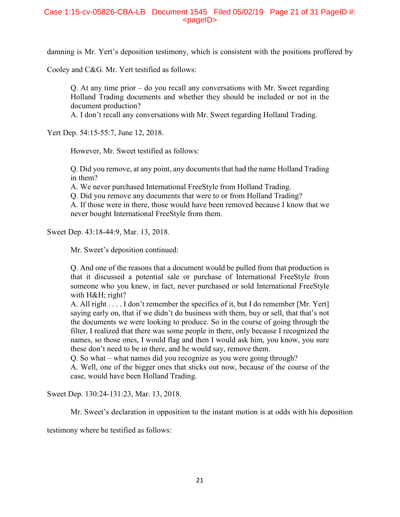# Case 1:15-cv-05826-CBA-LB Document 1545 Filed 05/02/19 Page 21 of 31 PageID #:  $<$ pageID $>$

damning is Mr. Yert's deposition testimony, which is consistent with the positions proffered by

Cooley and C&G. Mr. Yert testified as follows:

Q. At any time prior – do you recall any conversations with Mr. Sweet regarding Holland Trading documents and whether they should be included or not in the document production?

A. I don't recall any conversations with Mr. Sweet regarding Holland Trading.

Yert Dep. 54:15-55:7, June 12, 2018.

However, Mr. Sweet testified as follows:

Q. Did you remove, at any point, any documents that had the name Holland Trading in them?

A. We never purchased International FreeStyle from Holland Trading.

Q. Did you remove any documents that were to or from Holland Trading?

A. If those were in there, those would have been removed because I know that we never bought International FreeStyle from them.

Sweet Dep. 43:18-44:9, Mar. 13, 2018.

Mr. Sweet's deposition continued:

Q. And one of the reasons that a document would be pulled from that production is that it discussed a potential sale or purchase of International FreeStyle from someone who you knew, in fact, never purchased or sold International FreeStyle with H&H; right?

A. All right . . . . I don't remember the specifics of it, but I do remember [Mr. Yert] saying early on, that if we didn't do business with them, buy or sell, that that's not the documents we were looking to produce. So in the course of going through the filter, I realized that there was some people in there, only because I recognized the names, so those ones, I would flag and then I would ask him, you know, you sure these don't need to be in there, and he would say, remove them.

Q. So what – what names did you recognize as you were going through?

A. Well, one of the bigger ones that sticks out now, because of the course of the case, would have been Holland Trading.

Sweet Dep. 130:24-131:23, Mar. 13, 2018.

Mr. Sweet's declaration in opposition to the instant motion is at odds with his deposition

testimony where he testified as follows: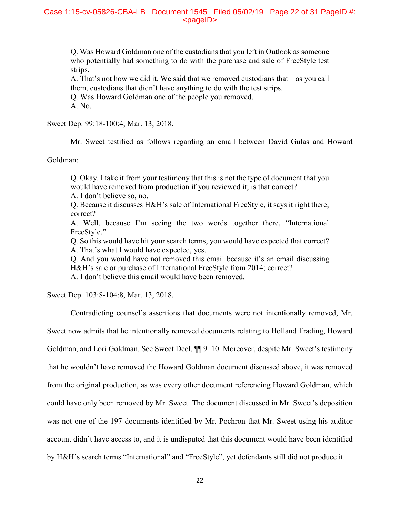# Case 1:15-cv-05826-CBA-LB Document 1545 Filed 05/02/19 Page 22 of 31 PageID #:  $<sub>pa</sub>$  $<sub>o</sub>$ </sub></sub>

Q. Was Howard Goldman one of the custodians that you left in Outlook as someone who potentially had something to do with the purchase and sale of FreeStyle test strips.

A. That's not how we did it. We said that we removed custodians that – as you call them, custodians that didn't have anything to do with the test strips.

Q. Was Howard Goldman one of the people you removed.

A. No.

Sweet Dep. 99:18-100:4, Mar. 13, 2018.

Mr. Sweet testified as follows regarding an email between David Gulas and Howard

Goldman:

Q. Okay. I take it from your testimony that this is not the type of document that you would have removed from production if you reviewed it; is that correct?

A. I don't believe so, no.

Q. Because it discusses H&H's sale of International FreeStyle, it says it right there; correct?

A. Well, because I'm seeing the two words together there, "International FreeStyle."

Q. So this would have hit your search terms, you would have expected that correct? A. That's what I would have expected, yes.

Q. And you would have not removed this email because it's an email discussing H&H's sale or purchase of International FreeStyle from 2014; correct?

A. I don't believe this email would have been removed.

Sweet Dep. 103:8-104:8, Mar. 13, 2018.

Contradicting counsel's assertions that documents were not intentionally removed, Mr.

Sweet now admits that he intentionally removed documents relating to Holland Trading, Howard Goldman, and Lori Goldman. See Sweet Decl. <sup>[1]</sup> 9–10. Moreover, despite Mr. Sweet's testimony that he wouldn't have removed the Howard Goldman document discussed above, it was removed from the original production, as was every other document referencing Howard Goldman, which could have only been removed by Mr. Sweet. The document discussed in Mr. Sweet's deposition was not one of the 197 documents identified by Mr. Pochron that Mr. Sweet using his auditor account didn't have access to, and it is undisputed that this document would have been identified by H&H's search terms "International" and "FreeStyle", yet defendants still did not produce it.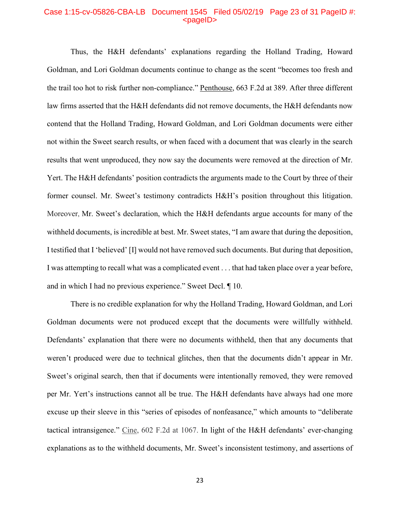## Case 1:15-cv-05826-CBA-LB Document 1545 Filed 05/02/19 Page 23 of 31 PageID #:  $<sub>pa</sub>$ gelD $>$ </sub>

Thus, the H&H defendants' explanations regarding the Holland Trading, Howard Goldman, and Lori Goldman documents continue to change as the scent "becomes too fresh and the trail too hot to risk further non-compliance." Penthouse, 663 F.2d at 389. After three different law firms asserted that the H&H defendants did not remove documents, the H&H defendants now contend that the Holland Trading, Howard Goldman, and Lori Goldman documents were either not within the Sweet search results, or when faced with a document that was clearly in the search results that went unproduced, they now say the documents were removed at the direction of Mr. Yert. The H&H defendants' position contradicts the arguments made to the Court by three of their former counsel. Mr. Sweet's testimony contradicts H&H's position throughout this litigation. Moreover, Mr. Sweet's declaration, which the H&H defendants argue accounts for many of the withheld documents, is incredible at best. Mr. Sweet states, "I am aware that during the deposition, I testified that I 'believed' [I] would not have removed such documents. But during that deposition, I was attempting to recall what was a complicated event . . . that had taken place over a year before, and in which I had no previous experience." Sweet Decl. ¶ 10.

There is no credible explanation for why the Holland Trading, Howard Goldman, and Lori Goldman documents were not produced except that the documents were willfully withheld. Defendants' explanation that there were no documents withheld, then that any documents that weren't produced were due to technical glitches, then that the documents didn't appear in Mr. Sweet's original search, then that if documents were intentionally removed, they were removed per Mr. Yert's instructions cannot all be true. The H&H defendants have always had one more excuse up their sleeve in this "series of episodes of nonfeasance," which amounts to "deliberate tactical intransigence." Cine, 602 F.2d at 1067. In light of the H&H defendants' ever-changing explanations as to the withheld documents, Mr. Sweet's inconsistent testimony, and assertions of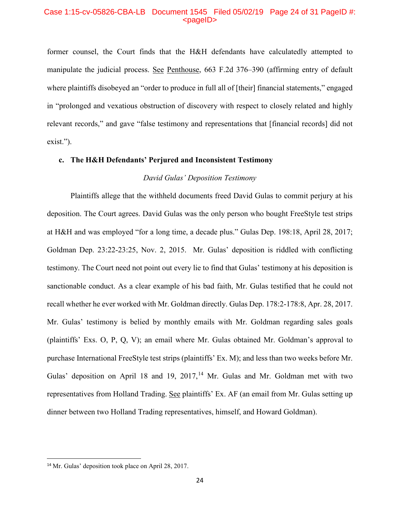# Case 1:15-cv-05826-CBA-LB Document 1545 Filed 05/02/19 Page 24 of 31 PageID #: <pageID>

former counsel, the Court finds that the H&H defendants have calculatedly attempted to manipulate the judicial process. See Penthouse, 663 F.2d 376–390 (affirming entry of default where plaintiffs disobeyed an "order to produce in full all of [their] financial statements," engaged in "prolonged and vexatious obstruction of discovery with respect to closely related and highly relevant records," and gave "false testimony and representations that [financial records] did not exist.").

# **c. The H&H Defendants' Perjured and Inconsistent Testimony**

# *David Gulas' Deposition Testimony*

Plaintiffs allege that the withheld documents freed David Gulas to commit perjury at his deposition. The Court agrees. David Gulas was the only person who bought FreeStyle test strips at H&H and was employed "for a long time, a decade plus." Gulas Dep. 198:18, April 28, 2017; Goldman Dep. 23:22-23:25, Nov. 2, 2015. Mr. Gulas' deposition is riddled with conflicting testimony. The Court need not point out every lie to find that Gulas' testimony at his deposition is sanctionable conduct. As a clear example of his bad faith, Mr. Gulas testified that he could not recall whether he ever worked with Mr. Goldman directly. Gulas Dep. 178:2-178:8, Apr. 28, 2017. Mr. Gulas' testimony is belied by monthly emails with Mr. Goldman regarding sales goals (plaintiffs' Exs. O, P, Q, V); an email where Mr. Gulas obtained Mr. Goldman's approval to purchase International FreeStyle test strips (plaintiffs' Ex. M); and less than two weeks before Mr. Gulas' deposition on April 18 and 19,  $2017$ ,  $^{14}$  $^{14}$  $^{14}$  Mr. Gulas and Mr. Goldman met with two representatives from Holland Trading. See plaintiffs' Ex. AF (an email from Mr. Gulas setting up dinner between two Holland Trading representatives, himself, and Howard Goldman).

<span id="page-23-0"></span> <sup>14</sup> Mr. Gulas' deposition took place on April 28, 2017.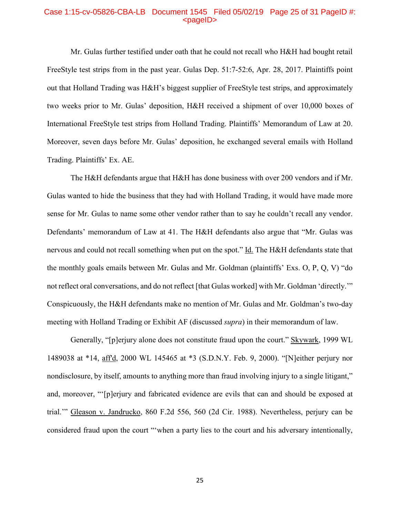## Case 1:15-cv-05826-CBA-LB Document 1545 Filed 05/02/19 Page 25 of 31 PageID #: <pageID>

Mr. Gulas further testified under oath that he could not recall who H&H had bought retail FreeStyle test strips from in the past year. Gulas Dep. 51:7-52:6, Apr. 28, 2017. Plaintiffs point out that Holland Trading was H&H's biggest supplier of FreeStyle test strips, and approximately two weeks prior to Mr. Gulas' deposition, H&H received a shipment of over 10,000 boxes of International FreeStyle test strips from Holland Trading. Plaintiffs' Memorandum of Law at 20. Moreover, seven days before Mr. Gulas' deposition, he exchanged several emails with Holland Trading. Plaintiffs' Ex. AE.

The H&H defendants argue that H&H has done business with over 200 vendors and if Mr. Gulas wanted to hide the business that they had with Holland Trading, it would have made more sense for Mr. Gulas to name some other vendor rather than to say he couldn't recall any vendor. Defendants' memorandum of Law at 41. The H&H defendants also argue that "Mr. Gulas was nervous and could not recall something when put on the spot." Id. The H&H defendants state that the monthly goals emails between Mr. Gulas and Mr. Goldman (plaintiffs' Exs. O, P, Q, V) "do not reflect oral conversations, and do not reflect [that Gulas worked] with Mr. Goldman 'directly.'" Conspicuously, the H&H defendants make no mention of Mr. Gulas and Mr. Goldman's two-day meeting with Holland Trading or Exhibit AF (discussed *supra*) in their memorandum of law.

Generally, "[p]erjury alone does not constitute fraud upon the court." Skywark, 1999 WL 1489038 at \*14, aff'd, 2000 WL 145465 at \*3 (S.D.N.Y. Feb. 9, 2000). "[N]either perjury nor nondisclosure, by itself, amounts to anything more than fraud involving injury to a single litigant," and, moreover, "'[p]erjury and fabricated evidence are evils that can and should be exposed at trial.'" Gleason v. Jandrucko, 860 F.2d 556, 560 (2d Cir. 1988). Nevertheless, perjury can be considered fraud upon the court "'when a party lies to the court and his adversary intentionally,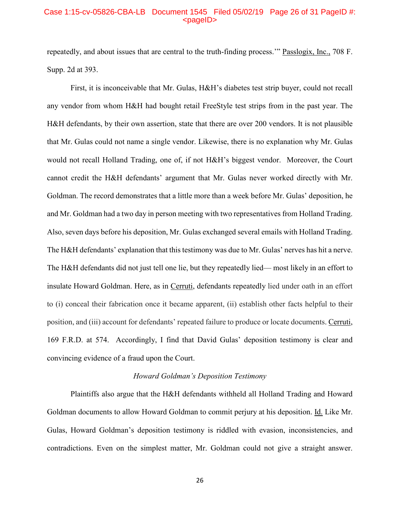# Case 1:15-cv-05826-CBA-LB Document 1545 Filed 05/02/19 Page 26 of 31 PageID #: <pageID>

repeatedly, and about issues that are central to the truth-finding process." Passlogix, Inc., 708 F. Supp. 2d at 393.

First, it is inconceivable that Mr. Gulas, H&H's diabetes test strip buyer, could not recall any vendor from whom H&H had bought retail FreeStyle test strips from in the past year. The H&H defendants, by their own assertion, state that there are over 200 vendors. It is not plausible that Mr. Gulas could not name a single vendor. Likewise, there is no explanation why Mr. Gulas would not recall Holland Trading, one of, if not H&H's biggest vendor. Moreover, the Court cannot credit the H&H defendants' argument that Mr. Gulas never worked directly with Mr. Goldman. The record demonstrates that a little more than a week before Mr. Gulas' deposition, he and Mr. Goldman had a two day in person meeting with two representatives from Holland Trading. Also, seven days before his deposition, Mr. Gulas exchanged several emails with Holland Trading. The H&H defendants' explanation that this testimony was due to Mr. Gulas' nerves has hit a nerve. The H&H defendants did not just tell one lie, but they repeatedly lied— most likely in an effort to insulate Howard Goldman. Here, as in Cerruti, defendants repeatedly lied under oath in an effort to (i) conceal their fabrication once it became apparent, (ii) establish other facts helpful to their position, and (iii) account for defendants' repeated failure to produce or locate documents. Cerruti, 169 F.R.D. at 574. Accordingly, I find that David Gulas' deposition testimony is clear and convincing evidence of a fraud upon the Court.

#### *Howard Goldman's Deposition Testimony*

Plaintiffs also argue that the H&H defendants withheld all Holland Trading and Howard Goldman documents to allow Howard Goldman to commit perjury at his deposition. Id. Like Mr. Gulas, Howard Goldman's deposition testimony is riddled with evasion, inconsistencies, and contradictions. Even on the simplest matter, Mr. Goldman could not give a straight answer.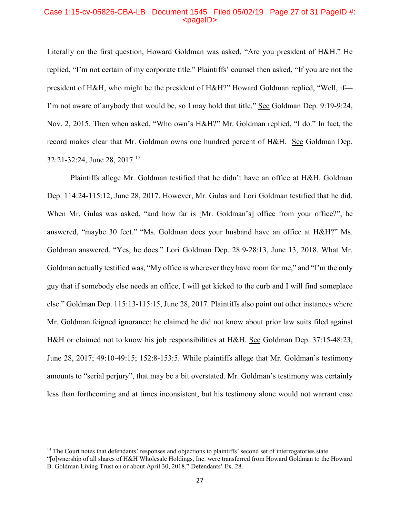## Case 1:15-cv-05826-CBA-LB Document 1545 Filed 05/02/19 Page 27 of 31 PageID #:  $<sub>pa</sub>$  $<sub>o</sub>$ </sub></sub>

Literally on the first question, Howard Goldman was asked, "Are you president of H&H." He replied, "I'm not certain of my corporate title." Plaintiffs' counsel then asked, "If you are not the president of H&H, who might be the president of H&H?" Howard Goldman replied, "Well, if— I'm not aware of anybody that would be, so I may hold that title." See Goldman Dep. 9:19-9:24, Nov. 2, 2015. Then when asked, "Who own's H&H?" Mr. Goldman replied, "I do." In fact, the record makes clear that Mr. Goldman owns one hundred percent of H&H. See Goldman Dep. 32:21-32:24, June 28, 2017. [15](#page-26-0)

Plaintiffs allege Mr. Goldman testified that he didn't have an office at H&H. Goldman Dep. 114:24-115:12, June 28, 2017. However, Mr. Gulas and Lori Goldman testified that he did. When Mr. Gulas was asked, "and how far is [Mr. Goldman's] office from your office?", he answered, "maybe 30 feet." "Ms. Goldman does your husband have an office at H&H?" Ms. Goldman answered, "Yes, he does." Lori Goldman Dep. 28:9-28:13, June 13, 2018. What Mr. Goldman actually testified was, "My office is wherever they have room for me," and "I'm the only guy that if somebody else needs an office, I will get kicked to the curb and I will find someplace else." Goldman Dep. 115:13-115:15, June 28, 2017. Plaintiffs also point out other instances where Mr. Goldman feigned ignorance: he claimed he did not know about prior law suits filed against H&H or claimed not to know his job responsibilities at H&H. See Goldman Dep. 37:15-48:23, June 28, 2017; 49:10-49:15; 152:8-153:5. While plaintiffs allege that Mr. Goldman's testimony amounts to "serial perjury", that may be a bit overstated. Mr. Goldman's testimony was certainly less than forthcoming and at times inconsistent, but his testimony alone would not warrant case

l

<span id="page-26-0"></span><sup>&</sup>lt;sup>15</sup> The Court notes that defendants' responses and objections to plaintiffs' second set of interrogatories state

<sup>&</sup>quot;[o]wnership of all shares of H&H Wholesale Holdings, Inc. were transferred from Howard Goldman to the Howard B. Goldman Living Trust on or about April 30, 2018." Defendants' Ex. 28.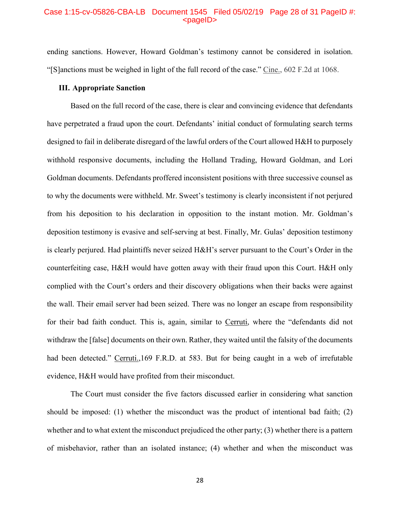### Case 1:15-cv-05826-CBA-LB Document 1545 Filed 05/02/19 Page 28 of 31 PageID #: <pageID>

ending sanctions. However, Howard Goldman's testimony cannot be considered in isolation. "[S]anctions must be weighed in light of the full record of the case." Cine., 602 F.2d at 1068.

# **III. Appropriate Sanction**

Based on the full record of the case, there is clear and convincing evidence that defendants have perpetrated a fraud upon the court. Defendants' initial conduct of formulating search terms designed to fail in deliberate disregard of the lawful orders of the Court allowed H&H to purposely withhold responsive documents, including the Holland Trading, Howard Goldman, and Lori Goldman documents. Defendants proffered inconsistent positions with three successive counsel as to why the documents were withheld. Mr. Sweet's testimony is clearly inconsistent if not perjured from his deposition to his declaration in opposition to the instant motion. Mr. Goldman's deposition testimony is evasive and self-serving at best. Finally, Mr. Gulas' deposition testimony is clearly perjured. Had plaintiffs never seized H&H's server pursuant to the Court's Order in the counterfeiting case, H&H would have gotten away with their fraud upon this Court. H&H only complied with the Court's orders and their discovery obligations when their backs were against the wall. Their email server had been seized. There was no longer an escape from responsibility for their bad faith conduct. This is, again, similar to Cerruti, where the "defendants did not withdraw the [false] documents on their own. Rather, they waited until the falsity of the documents had been detected." Cerruti.,169 F.R.D. at 583. But for being caught in a web of irrefutable evidence, H&H would have profited from their misconduct.

The Court must consider the five factors discussed earlier in considering what sanction should be imposed: (1) whether the misconduct was the product of intentional bad faith; (2) whether and to what extent the misconduct prejudiced the other party; (3) whether there is a pattern of misbehavior, rather than an isolated instance; (4) whether and when the misconduct was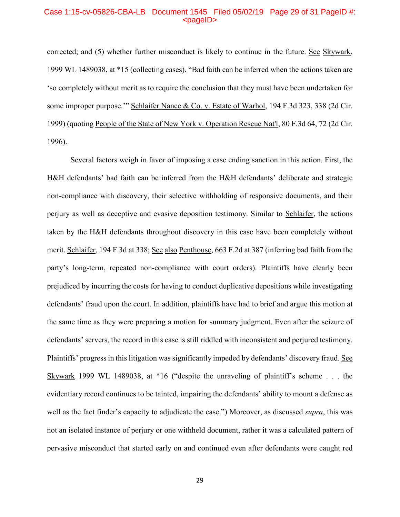## Case 1:15-cv-05826-CBA-LB Document 1545 Filed 05/02/19 Page 29 of 31 PageID #: <pageID>

corrected; and (5) whether further misconduct is likely to continue in the future. See Skywark, 1999 WL 1489038, at \*15 (collecting cases). "Bad faith can be inferred when the actions taken are 'so completely without merit as to require the conclusion that they must have been undertaken for some improper purpose.'" Schlaifer Nance & Co. v. Estate of Warhol, 194 F.3d 323, 338 (2d Cir. 1999) (quoting People of the State of New York v. Operation Rescue Nat'l, 80 F.3d 64, 72 (2d Cir. 1996).

Several factors weigh in favor of imposing a case ending sanction in this action. First, the H&H defendants' bad faith can be inferred from the H&H defendants' deliberate and strategic non-compliance with discovery, their selective withholding of responsive documents, and their perjury as well as deceptive and evasive deposition testimony. Similar to Schlaifer, the actions taken by the H&H defendants throughout discovery in this case have been completely without merit. Schlaifer, 194 F.3d at 338; See also Penthouse, 663 F.2d at 387 (inferring bad faith from the party's long-term, repeated non-compliance with court orders). Plaintiffs have clearly been prejudiced by incurring the costs for having to conduct duplicative depositions while investigating defendants' fraud upon the court. In addition, plaintiffs have had to brief and argue this motion at the same time as they were preparing a motion for summary judgment. Even after the seizure of defendants' servers, the record in this case is still riddled with inconsistent and perjured testimony. Plaintiffs' progress in this litigation was significantly impeded by defendants' discovery fraud. See Skywark 1999 WL 1489038, at \*16 ("despite the unraveling of plaintiff's scheme . . . the evidentiary record continues to be tainted, impairing the defendants' ability to mount a defense as well as the fact finder's capacity to adjudicate the case.") Moreover, as discussed *supra*, this was not an isolated instance of perjury or one withheld document, rather it was a calculated pattern of pervasive misconduct that started early on and continued even after defendants were caught red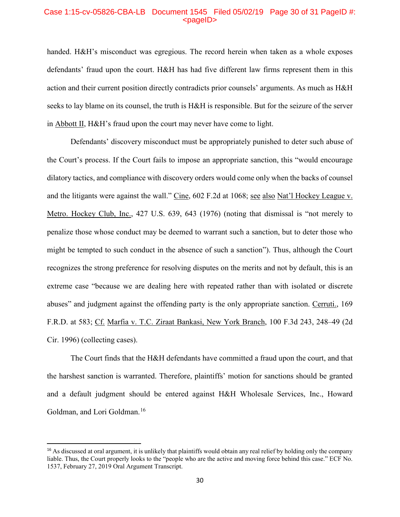# Case 1:15-cv-05826-CBA-LB Document 1545 Filed 05/02/19 Page 30 of 31 PageID #:  $<sub>pa</sub>$  $<sub>o</sub>$ </sub></sub>

handed. H&H's misconduct was egregious. The record herein when taken as a whole exposes defendants' fraud upon the court. H&H has had five different law firms represent them in this action and their current position directly contradicts prior counsels' arguments. As much as H&H seeks to lay blame on its counsel, the truth is H&H is responsible. But for the seizure of the server in Abbott II, H&H's fraud upon the court may never have come to light.

Defendants' discovery misconduct must be appropriately punished to deter such abuse of the Court's process. If the Court fails to impose an appropriate sanction, this "would encourage dilatory tactics, and compliance with discovery orders would come only when the backs of counsel and the litigants were against the wall." Cine, 602 F.2d at 1068; see also Nat'l Hockey League v. Metro. Hockey Club, Inc., 427 U.S. 639, 643 (1976) (noting that dismissal is "not merely to penalize those whose conduct may be deemed to warrant such a sanction, but to deter those who might be tempted to such conduct in the absence of such a sanction"). Thus, although the Court recognizes the strong preference for resolving disputes on the merits and not by default, this is an extreme case "because we are dealing here with repeated rather than with isolated or discrete abuses" and judgment against the offending party is the only appropriate sanction. Cerruti., 169 F.R.D. at 583; Cf. Marfia v. T.C. Ziraat Bankasi, New York Branch, 100 F.3d 243, 248–49 (2d Cir. 1996) (collecting cases).

The Court finds that the H&H defendants have committed a fraud upon the court, and that the harshest sanction is warranted. Therefore, plaintiffs' motion for sanctions should be granted and a default judgment should be entered against H&H Wholesale Services, Inc., Howard Goldman, and Lori Goldman. [16](#page-29-0)

<span id="page-29-0"></span><sup>&</sup>lt;sup>16</sup> As discussed at oral argument, it is unlikely that plaintiffs would obtain any real relief by holding only the company liable. Thus, the Court properly looks to the "people who are the active and moving force behind this case." ECF No. 1537, February 27, 2019 Oral Argument Transcript.